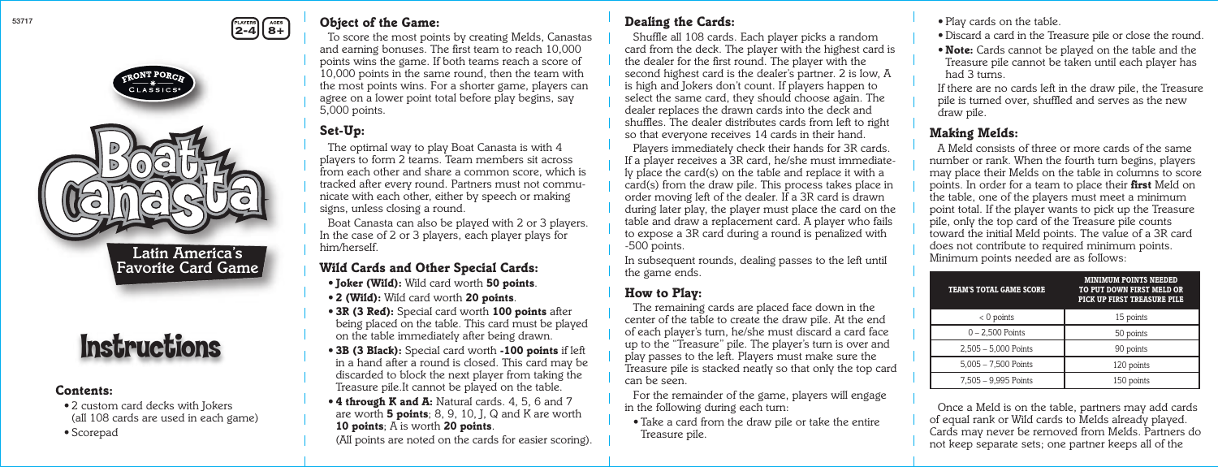### *Object of the Game:*

 *To score the most points by creating Melds, Canastas and earning bonuses. The first team to reach 10,000 points wins the game. If both teams reach a score of 10,000 points in the same round, then the team with the most points wins. For a shorter game, players can agree on a lower point total before play begins, say 5,000 points.*

# *Set-Up:*

 *The optimal way to play Boat Canasta is with 4 players to form 2 teams. Team members sit across from each other and share a common score, which is tracked after every round. Partners must not communicate with each other, either by speech or making signs, unless closing a round.*

*Boat Canasta can also be played with 2 or 3 players. In the case of 2 or 3 players, each player plays for him/herself.*

 *Shuffle all 108 cards. Each player picks a random card from the deck. The player with the highest card is the dealer for the first round. The player with the second highest card is the dealer's partner. 2 is low, A is high and Jokers don't count. If players happen to select the same card, they should choose again. The dealer replaces the drawn cards into the deck and shuffles. The dealer distributes cards from left to right so that everyone receives 14 cards in their hand.* **2-4 8+** *Consect of the Game:* **2-4** *Play cards on the table.*<br>2-4 **8+** *Consect points by creating Melds Canactes* **<b>6 Shuffle all 108 cards Each player picks a random <b>by Play** card a card in the Tree **1** 

# *Wild Cards and Other Special Cards:*

- *• Joker (Wild): Wild card worth 50 points.*
- *2 (Wild): Wild card worth 20 points.*
- *3R (3 Red): Special card worth 100 points after being placed on the table. This card must be played on the table immediately after being drawn.*
- *3B (3 Black): Special card worth -100 points if left in a hand after a round is closed. This card may be discarded to block the next player from taking the Treasure pile.It cannot be played on the table.*
- *4 through K and A: Natural cards. 4, 5, 6 and 7 are worth 5 points; 8, 9, 10, J, Q and K are worth 10 points; A is worth 20 points.*

In subsequent rounds, dealing passes to the left until *the game ends.*

 *(All points are noted on the cards for easier scoring).*

# *Dealing the Cards:*

 *Players immediately check their hands for 3R cards. If a player receives a 3R card, he/she must immediately place the card(s) on the table and replace it with a*  card(s) from the draw pile. This process takes place in *order moving left of the dealer. If a 3R card is drawn during later play, the player must place the card on the table and draw a replacement card. A player who fails to expose a 3R card during a round is penalized with -500 points.* 

### *How to Play:*

 *The remaining cards are placed face down in the center of the table to create the draw pile. At the end of each player's turn, he/she must discard a card face up to the "Treasure" pile. The player's turn is over and play passes to the left. Players must make sure the Treasure pile is stacked neatly so that only the top card can be seen.*

 *For the remainder of the game, players will engage in the following during each turn:*

 *• Take a card from the draw pile or take the entire Treasure pile.*

# Instructions



*Latin America's Favorite Card Game* *• Discard a card in the Treasure pile or close the round. • Note: Cards cannot be played on the table and the Treasure pile cannot be taken until each player has had 3 turns.*

 *If there are no cards left in the draw pile, the Treasure pile is turned over, shuffled and serves as the new draw pile.*

#### *Making Melds:*

 *A Meld consists of three or more cards of the same number or rank. When the fourth turn begins, players may place their Melds on the table in columns to score points. In order for a team to place their first Meld on the table, one of the players must meet a minimum point total. If the player wants to pick up the Treasure pile, only the top card of the Treasure pile counts toward the initial Meld points. The value of a 3R card does not contribute to required minimum points. Minimum points needed are as follows:*

 *Once a Meld is on the table, partners may add cards of equal rank or Wild cards to Melds already played. Cards may never be removed from Melds. Partners do not keep separate sets; one partner keeps all of the* 

| <b>TEAM'S TOTAL GAME SCORE</b> | <b>MINIMUM POINTS NEEDED</b><br>TO PUT DOWN FIRST MELD OR<br>PICK UP FIRST TREASURE PILE |  |
|--------------------------------|------------------------------------------------------------------------------------------|--|
| $< 0$ points                   | 15 points                                                                                |  |
| $0 - 2.500$ Points             | 50 points                                                                                |  |
| 2,505 - 5,000 Points           | 90 points                                                                                |  |
| $5,005 - 7,500$ Points         | 120 points                                                                               |  |
| 7,505 - 9,995 Points           | 150 points                                                                               |  |

#### *Contents:*

- *2 custom card decks with Jokers (all 108 cards are used in each game)*
- *Scorepad*